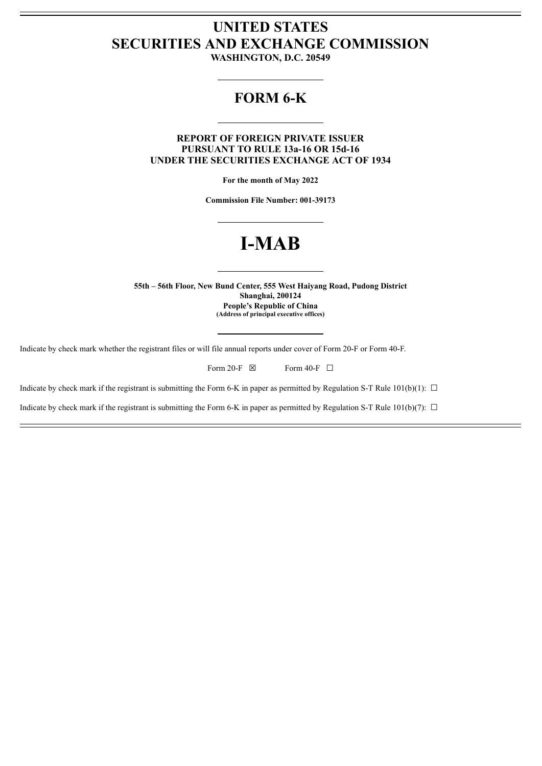## **UNITED STATES SECURITIES AND EXCHANGE COMMISSION**

**WASHINGTON, D.C. 20549**

### **FORM 6-K**

### **REPORT OF FOREIGN PRIVATE ISSUER PURSUANT TO RULE 13a-16 OR 15d-16 UNDER THE SECURITIES EXCHANGE ACT OF 1934**

**For the month of May 2022**

**Commission File Number: 001-39173**

# **I-MAB**

**55th – 56th Floor, New Bund Center, 555 West Haiyang Road, Pudong District Shanghai, 200124 People's Republic of China (Address of principal executive offices)**

Indicate by check mark whether the registrant files or will file annual reports under cover of Form 20-F or Form 40-F.

Form 20-F  $\boxtimes$  Form 40-F  $\Box$ 

Indicate by check mark if the registrant is submitting the Form 6-K in paper as permitted by Regulation S-T Rule 101(b)(1):  $\Box$ 

Indicate by check mark if the registrant is submitting the Form 6-K in paper as permitted by Regulation S-T Rule 101(b)(7):  $\Box$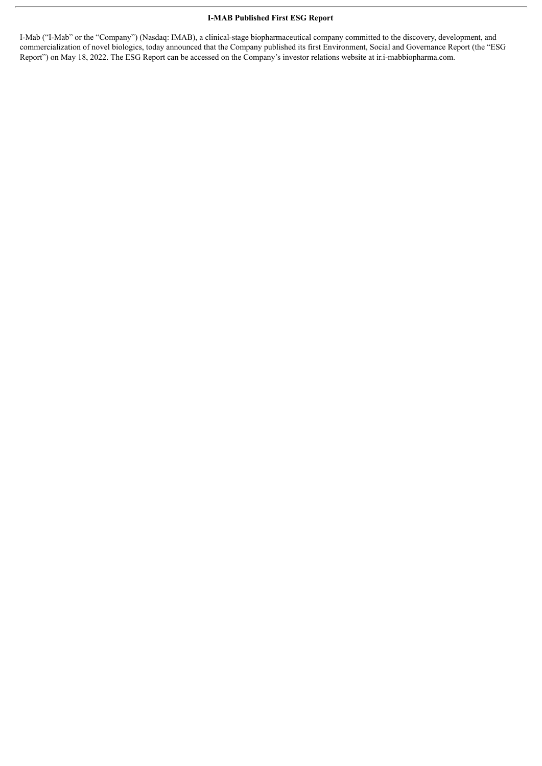#### **I-MAB Published First ESG Report**

I-Mab ("I-Mab" or the "Company") (Nasdaq: IMAB), a clinical-stage biopharmaceutical company committed to the discovery, development, and commercialization of novel biologics, today announced that the Company published its first Environment, Social and Governance Report (the "ESG Report") on May 18, 2022. The ESG Report can be accessed on the Company's investor relations website at ir.i-mabbiopharma.com.